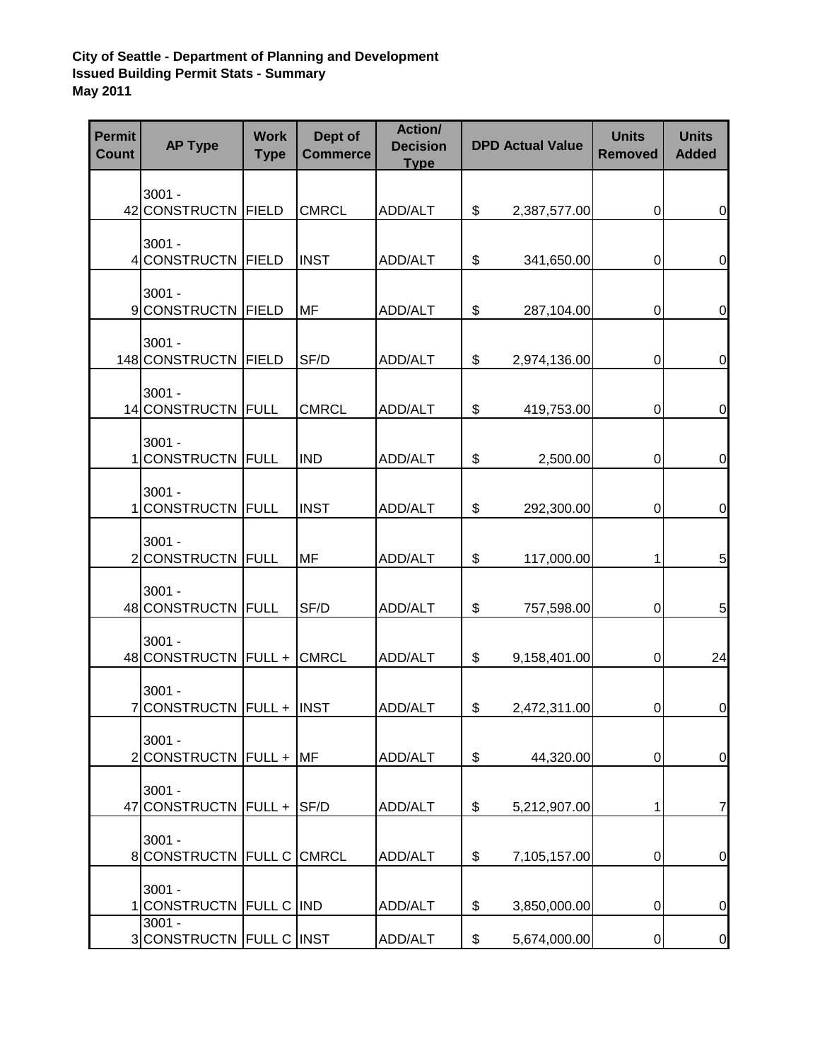## **City of Seattle - Department of Planning and Development Issued Building Permit Stats - Summary May 2011**

| <b>Permit</b><br><b>Count</b> | <b>AP Type</b>                                  | <b>Work</b><br><b>Type</b> | Dept of<br><b>Commerce</b> | Action/<br><b>Decision</b><br><b>Type</b> | <b>DPD Actual Value</b> |              | <b>Units</b><br><b>Removed</b> | <b>Units</b><br><b>Added</b> |
|-------------------------------|-------------------------------------------------|----------------------------|----------------------------|-------------------------------------------|-------------------------|--------------|--------------------------------|------------------------------|
|                               | $3001 -$<br>42 CONSTRUCTN FIELD                 |                            | <b>CMRCL</b>               | ADD/ALT                                   | \$                      | 2,387,577.00 | 0                              | $\mathbf 0$                  |
|                               | $3001 -$<br>4 CONSTRUCTN FIELD                  |                            | <b>INST</b>                | ADD/ALT                                   | \$                      | 341,650.00   | 0                              | $\mathbf 0$                  |
|                               | $3001 -$<br>9 CONSTRUCTN FIELD                  |                            | MF                         | ADD/ALT                                   | \$                      | 287,104.00   | 0                              | $\boldsymbol{0}$             |
|                               | $3001 -$<br>148 CONSTRUCTN FIELD                |                            | SF/D                       | ADD/ALT                                   | \$                      | 2,974,136.00 | 0                              | $\mathbf 0$                  |
|                               | $3001 -$<br>14 CONSTRUCTN FULL                  |                            | <b>CMRCL</b>               | ADD/ALT                                   | \$                      | 419,753.00   | $\boldsymbol{0}$               | $\mathbf 0$                  |
|                               | $3001 -$<br>1 CONSTRUCTN FULL                   |                            | <b>IND</b>                 | ADD/ALT                                   | \$                      | 2,500.00     | 0                              | $\mathbf 0$                  |
|                               | $3001 -$<br>1 CONSTRUCTN FULL                   |                            | <b>INST</b>                | ADD/ALT                                   | \$                      | 292,300.00   | 0                              | $\mathbf 0$                  |
|                               | $3001 -$<br>2 CONSTRUCTN FULL                   |                            | <b>MF</b>                  | ADD/ALT                                   | \$                      | 117,000.00   | 1                              | 5                            |
|                               | $3001 -$<br>48 CONSTRUCTN FULL                  |                            | SF/D                       | ADD/ALT                                   | \$                      | 757,598.00   | 0                              | 5                            |
|                               | $3001 -$<br>48 CONSTRUCTN FULL +                |                            | <b>CMRCL</b>               | ADD/ALT                                   | \$                      | 9,158,401.00 | 0                              | 24                           |
|                               | $3001 -$<br>7 CONSTRUCTN FULL + INST            |                            |                            | ADD/ALT                                   | \$                      | 2,472,311.00 | 0                              | $\pmb{0}$                    |
|                               | $3001 -$<br>2CONSTRUCTN FULL +                  |                            | <b>IMF</b>                 | ADD/ALT                                   | \$                      | 44,320.00    | 0                              | $\mathbf 0$                  |
|                               | $3001 -$<br>47 CONSTRUCTN FULL + SF/D           |                            |                            | ADD/ALT                                   | \$                      | 5,212,907.00 | 1                              | $\overline{7}$               |
|                               | $3001 -$<br>8 CONSTRUCTN FULL C CMRCL           |                            |                            | ADD/ALT                                   | \$                      | 7,105,157.00 | 0                              | 0                            |
|                               | $3001 -$<br>1 CONSTRUCTN FULL C IND<br>$3001 -$ |                            |                            | ADD/ALT                                   | \$                      | 3,850,000.00 | 0                              | $\mathbf 0$                  |
|                               | 3 CONSTRUCTN FULL C INST                        |                            |                            | ADD/ALT                                   | \$                      | 5,674,000.00 | 0                              | $\overline{0}$               |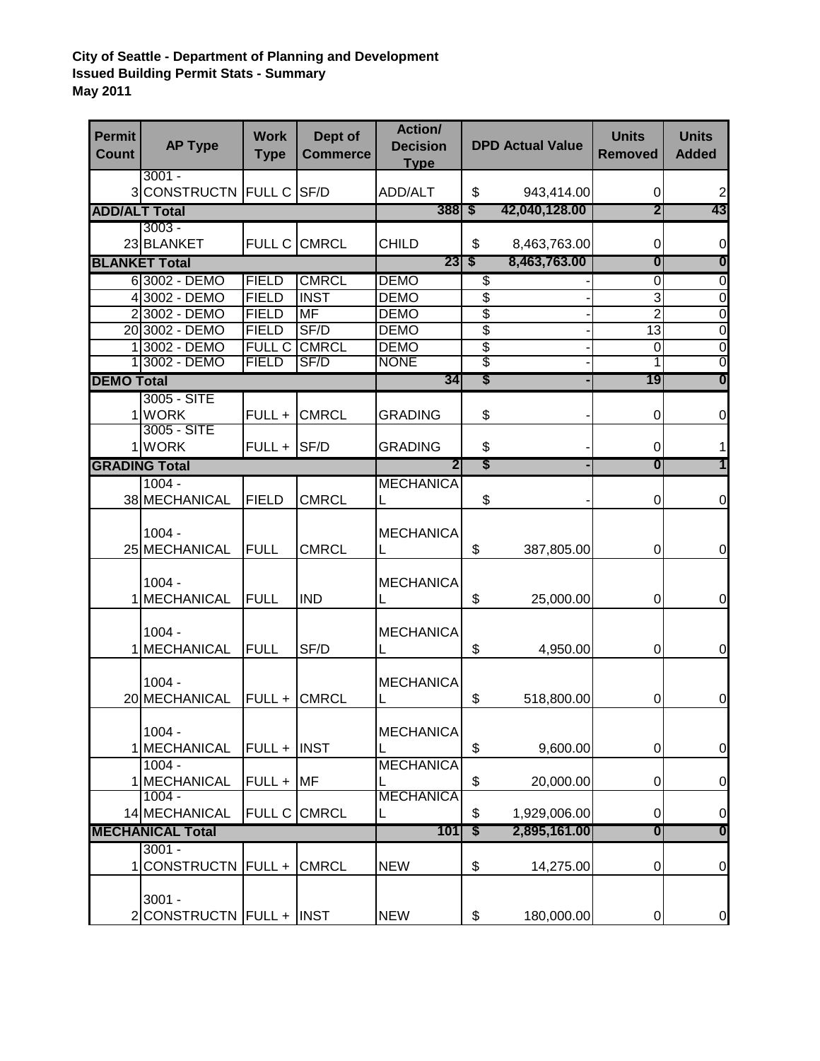## **City of Seattle - Department of Planning and Development Issued Building Permit Stats - Summary May 2011**

| <b>Permit</b><br><b>Count</b> | <b>AP Type</b>                       | <b>Work</b><br><b>Type</b>   | Dept of<br><b>Commerce</b>       | Action/<br><b>Decision</b><br><b>Type</b> |              | <b>DPD Actual Value</b> | <b>Units</b><br><b>Removed</b> | <b>Units</b><br><b>Added</b>     |
|-------------------------------|--------------------------------------|------------------------------|----------------------------------|-------------------------------------------|--------------|-------------------------|--------------------------------|----------------------------------|
|                               | $3001 -$<br>3 CONSTRUCTN FULL C SF/D |                              |                                  | ADD/ALT                                   | \$           | 943,414.00              | 0                              | $\overline{2}$                   |
| <b>ADD/ALT Total</b>          |                                      |                              |                                  | $388 \mid $ \$                            |              | 42,040,128.00           | 2                              | 43                               |
|                               | $3003 -$                             |                              |                                  |                                           |              |                         |                                |                                  |
|                               | 23 BLANKET                           |                              | FULL C CMRCL                     | <b>CHILD</b>                              | \$           | 8,463,763.00            | 0                              | $\pmb{0}$                        |
|                               | <b>BLANKET Total</b>                 |                              |                                  | $23 \mid $ \$                             |              | 8,463,763.00            | 0                              | 0                                |
|                               | 63002 - DEMO                         | <b>FIELD</b>                 | <b>CMRCL</b>                     | <b>DEMO</b>                               | \$           |                         | $\overline{0}$                 | $\overline{0}$                   |
|                               | 4 3002 - DEMO                        | <b>FIELD</b>                 | <b>INST</b>                      | <b>DEMO</b>                               | \$           |                         | 3                              | $\overline{0}$                   |
|                               | 23002 - DEMO<br>20 3002 - DEMO       | <b>FIELD</b><br><b>FIELD</b> | $\overline{\mathsf{MF}}$<br>SF/D | <b>DEMO</b><br><b>DEMO</b>                | \$<br>\$     |                         | $\overline{2}$<br>13           | $\overline{0}$<br>$\overline{0}$ |
|                               | 13002 - DEMO                         | <b>FULL C</b>                | <b>CMRCL</b>                     | <b>DEMO</b>                               | \$           |                         | 0                              | $\overline{0}$                   |
|                               | 1 3002 - DEMO                        | <b>FIELD</b>                 | SF/D                             | <b>NONE</b>                               | \$           |                         | 1                              | 0                                |
| <b>DEMO Total</b>             |                                      |                              |                                  | 34                                        | \$           |                         | 19                             | $\boldsymbol{0}$                 |
|                               | 3005 - SITE                          |                              |                                  |                                           |              |                         |                                |                                  |
|                               | 1 WORK                               | FULL +                       | <b>CMRCL</b>                     | GRADING                                   | \$           |                         | 0                              | $\mathbf 0$                      |
|                               | 3005 - SITE                          |                              |                                  |                                           |              |                         |                                |                                  |
|                               | 1 WORK                               | $FULL +  SF/D$               |                                  | <b>GRADING</b>                            | \$           |                         | 0                              | 1                                |
|                               | <b>GRADING Total</b>                 |                              |                                  |                                           | \$           |                         | 0                              | 1                                |
|                               | $1004 -$                             |                              |                                  | <b>MECHANICA</b>                          |              |                         |                                |                                  |
|                               | 38 MECHANICAL                        | <b>FIELD</b>                 | <b>CMRCL</b>                     | L                                         | \$           |                         | 0                              | 0                                |
|                               | $1004 -$                             |                              |                                  | <b>MECHANICA</b>                          |              |                         |                                |                                  |
|                               | 25 MECHANICAL                        | <b>FULL</b>                  | <b>CMRCL</b>                     | L                                         | \$           | 387,805.00              | 0                              | $\mathbf 0$                      |
| $\mathbf{1}$                  | $1004 -$<br><b>MECHANICAL</b>        | <b>FULL</b>                  | <b>IND</b>                       | <b>MECHANICA</b><br>L                     | \$           | 25,000.00               | 0                              | $\mathbf 0$                      |
|                               | $1004 -$<br>1 MECHANICAL             | <b>FULL</b>                  | SF/D                             | <b>MECHANICA</b><br>L                     | \$           | 4,950.00                | $\pmb{0}$                      | $\mathbf 0$                      |
|                               | $1004 -$<br>20 MECHANICAL            | FULL +                       | <b>CMRCL</b>                     | <b>MECHANICA</b><br>L                     | \$           | 518,800.00              | 0                              | $\mathbf 0$                      |
|                               | $1004 -$<br>1 MECHANICAL             | $FULL +  INST$               |                                  | <b>MECHANICA</b>                          | \$           | 9,600.00                | 0                              | $\mathbf 0$                      |
|                               | $1004 -$<br>1 MECHANICAL             | $FULL + MF$                  |                                  | <b>MECHANICA</b>                          | \$           | 20,000.00               | 0                              | $\boldsymbol{0}$                 |
|                               | $1004 -$<br>14 MECHANICAL            |                              | FULL C CMRCL                     | <b>MECHANICA</b><br>L                     | \$           | 1,929,006.00            | 0                              | $\mathbf 0$                      |
| <b>MECHANICAL Total</b>       |                                      |                              | 101                              | \$                                        | 2,895,161.00 | 0                       | $\boldsymbol{0}$               |                                  |
| 11                            | $3001 -$<br><b>CONSTRUCTN</b>        | FULL +                       | <b>CMRCL</b>                     | <b>NEW</b>                                | \$           | 14,275.00               | 0                              | $\pmb{0}$                        |
|                               | $3001 -$<br>2 CONSTRUCTN FULL + INST |                              |                                  | <b>NEW</b>                                | \$           | 180,000.00              | 0                              | $\overline{0}$                   |